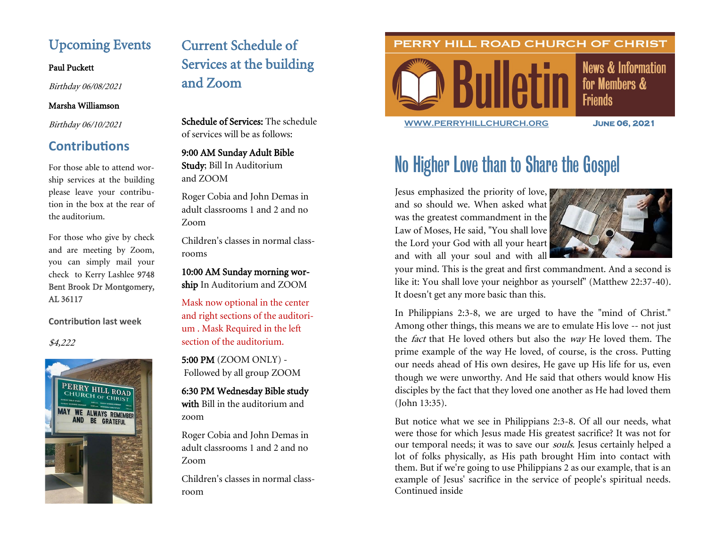# Upcoming Events

#### Paul Puckett

Birthday 06/08/2021

### Marsha Williamson

Birthday 06/10/2021

# **Contributions**

For those able to attend worship services at the building please leave your contribution in the box at the rear of the auditorium.

For those who give by check and are meeting by Zoom, you can simply mail your check to Kerry Lashlee 9748 Bent Brook Dr Montgomery, AL 36117

**Contribution last week**

\$4,222



# Current Schedule of Services at the building and Zoom

Schedule of Services: The schedule of services will be as follows:

9:00 AM Sunday Adult Bible Study; Bill In Auditorium and ZOOM

Roger Cobia and John Demas in adult classrooms 1 and 2 and no Zoom

Children's classes in normal classrooms

10:00 AM Sunday morning worship In Auditorium and ZOOM

Mask now optional in the center and right sections of the auditorium . Mask Required in the left section of the auditorium.

5:00 PM (ZOOM ONLY) - Followed by all group ZOOM

6:30 PM Wednesday Bible study with Bill in the auditorium and zoom

Roger Cobia and John Demas in adult classrooms 1 and 2 and no Zoom

Children's classes in normal classroom

## PERRY HILL ROAD CHURCH OF CHRIST



**News & Information** for Members & **Friends** 

**[WWW.PERRYHILLCHURCH.ORG](http://www.perryhillchurch.org) June 06, 2021** 

# No Higher Love than to Share the Gospel

Jesus emphasized the priority of love, and so should we. When asked what was the greatest commandment in the Law of Moses, He said, "You shall love the Lord your God with all your heart and with all your soul and with all



your mind. This is the great and first commandment. And a second is like it: You shall love your neighbor as yourself" (Matthew 22:37-40). It doesn't get any more basic than this.

In Philippians 2:3-8, we are urged to have the "mind of Christ." Among other things, this means we are to emulate His love -- not just the fact that He loved others but also the way He loved them. The prime example of the way He loved, of course, is the cross. Putting our needs ahead of His own desires, He gave up His life for us, even though we were unworthy. And He said that others would know His disciples by the fact that they loved one another as He had loved them (John 13:35).

But notice what we see in Philippians 2:3-8. Of all our needs, what were those for which Jesus made His greatest sacrifice? It was not for our temporal needs; it was to save our *souls*. Jesus certainly helped a lot of folks physically, as His path brought Him into contact with them. But if we're going to use Philippians 2 as our example, that is an example of Jesus' sacrifice in the service of people's spiritual needs. Continued inside